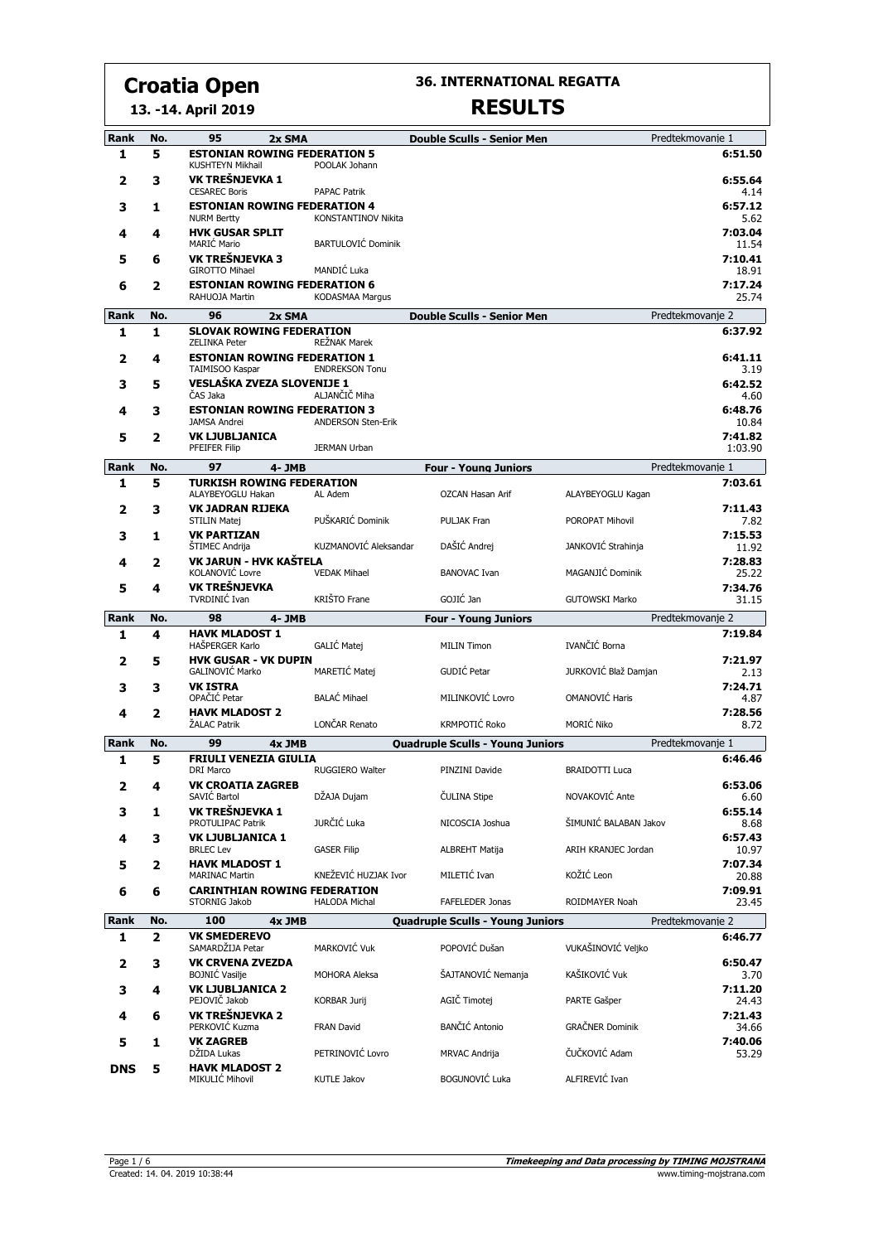**36. INTERNATIONAL REGATTA**

#### **13. -14. April 2019**

| Rank      | No.      | 95<br>2x SMA                                                   |                           | <b>Double Sculls - Senior Men</b>       |                        | Predtekmovanje 1            |
|-----------|----------|----------------------------------------------------------------|---------------------------|-----------------------------------------|------------------------|-----------------------------|
| 1         | 5        | <b>ESTONIAN ROWING FEDERATION 5</b><br><b>KUSHTEYN Mikhail</b> | POOLAK Johann             |                                         |                        | 6:51.50                     |
| 2         | З        | VK TREŠNJEVKA 1<br><b>CESAREC Boris</b>                        | <b>PAPAC Patrik</b>       |                                         |                        | 6:55.64<br>4.14             |
| 3         | 1        | <b>ESTONIAN ROWING FEDERATION 4</b><br><b>NURM Bertty</b>      | KONSTANTINOV Nikita       |                                         |                        | 6:57.12<br>5.62             |
| 4         | 4        | <b>HVK GUSAR SPLIT</b><br>MARIĆ Mario                          | <b>BARTULOVIĆ Dominik</b> |                                         |                        | 7:03.04<br>11.54            |
| 5         | 6        | VK TREŠNJEVKA 3<br><b>GIROTTO Mihael</b>                       | MANDIĆ Luka               |                                         |                        | 7:10.41<br>18.91            |
| 6         | 2        | <b>ESTONIAN ROWING FEDERATION 6</b><br>RAHUOJA Martin          | <b>KODASMAA Margus</b>    |                                         |                        | 7:17.24<br>25.74            |
| Rank      | No.      | 96<br>2x SMA                                                   |                           | <b>Double Sculls - Senior Men</b>       |                        | Predtekmovanie 2            |
| 1         | 1        | <b>SLOVAK ROWING FEDERATION</b><br><b>ZELINKA Peter</b>        | <b>REŽNAK Marek</b>       |                                         |                        | 6:37.92                     |
| 2         | 4        | <b>ESTONIAN ROWING FEDERATION 1</b><br>TAIMISOO Kaspar         | <b>ENDREKSON Tonu</b>     |                                         |                        | 6:41.11<br>3.19             |
| 3         | 5        | <b>VESLAŠKA ZVEZA SLOVENIJE 1</b><br>ČAS Jaka                  | ALJANČIČ Miha             |                                         |                        | 6:42.52<br>4.60             |
| 4         | з        | <b>ESTONIAN ROWING FEDERATION 3</b><br><b>JAMSA Andrei</b>     | <b>ANDERSON Sten-Erik</b> |                                         |                        | 6:48.76<br>10.84            |
| 5         | 2        | <b>VK LJUBLJANICA</b>                                          | <b>JERMAN Urban</b>       |                                         |                        | 7:41.82                     |
|           |          | PFEIFER Filip                                                  |                           |                                         |                        | 1:03.90                     |
| Rank<br>1 | No.<br>5 | 97<br>4- JMB<br><b>TURKISH ROWING FEDERATION</b>               |                           | <b>Four - Young Juniors</b>             |                        | Predtekmovanje 1<br>7:03.61 |
|           |          | ALAYBEYOGLU Hakan<br><b>VK JADRAN RIJEKA</b>                   | AL Adem                   | <b>OZCAN Hasan Arif</b>                 | ALAYBEYOGLU Kagan      | 7:11.43                     |
| 2         | 3        | <b>STILIN Matej</b>                                            | PUŠKARIĆ Dominik          | <b>PULJAK Fran</b>                      | POROPAT Mihovil        | 7.82<br>7:15.53             |
| 3         | 1        | <b>VK PARTIZAN</b><br><b>STIMEC Andrija</b>                    | KUZMANOVIĆ Aleksandar     | DAŠIĆ Andrei                            | JANKOVIĆ Strahinja     | 11.92                       |
| 4         | 2        | VK JARUN - HVK KAŠTELA<br>KOLANOVIĆ Lovre                      | <b>VEDAK Mihael</b>       | <b>BANOVAC Ivan</b>                     | MAGANJIĆ Dominik       | 7:28.83<br>25.22            |
| 5         | 4        | VK TREŠNJEVKA<br>TVRDINIĆ Ivan                                 | KRIŠTO Frane              | GOJIĆ Jan                               | <b>GUTOWSKI Marko</b>  | 7:34.76<br>31.15            |
|           |          |                                                                |                           |                                         |                        |                             |
| Rank      | No.      | 98<br>4- JMB                                                   |                           | <b>Four - Young Juniors</b>             |                        | Predtekmovanje 2            |
| 1         | 4        | <b>HAVK MLADOST 1</b><br>HAŠPERGER Karlo                       | GALIĆ Matej               | <b>MILIN Timon</b>                      | IVANČIĆ Borna          | 7:19.84                     |
| 2         | 5        | <b>HVK GUSAR - VK DUPIN</b><br>GALINOVIĆ Marko                 | MARETIĆ Matej             | GUDIĆ Petar                             | JURKOVIĆ Blaž Damjan   | 7:21.97<br>2.13             |
| 3         | з        | <b>VK ISTRA</b><br>OPAČIĆ Petar                                | <b>BALAĆ Mihael</b>       | MILINKOVIĆ Lovro                        | OMANOVIĆ Haris         | 7:24.71<br>4.87             |
| 4         | 2        | <b>HAVK MLADOST 2</b><br>ŽALAC Patrik                          | LONČAR Renato             | <b>KRMPOTIĆ Roko</b>                    | MORIĆ Niko             | 7:28.56<br>8.72             |
| Rank      | No.      | 99<br>4x JMB                                                   |                           | <b>Quadruple Sculls - Young Juniors</b> |                        | Predtekmovanje 1            |
| 1         | 5        | <b>FRIULI VENEZIA GIULIA</b><br><b>DRI Marco</b>               | <b>RUGGIERO Walter</b>    | PINZINI Davide                          | <b>BRAIDOTTI Luca</b>  | 6:46.46                     |
| 2         | 4        | <b>VK CROATIA ZAGREB</b>                                       |                           |                                         |                        | 6:53.06                     |
| з         | 1        | SAVIĆ Bartol<br>VK TREŠNJEVKA 1                                | DŽAJA Dujam               | ČULINA Stipe                            | NOVAKOVIĆ Ante         | 6.60<br>6:55.14             |
| 4         | 3        | PROTULIPAC Patrik<br><b>VK LJUBLJANICA 1</b>                   | JURČIĆ Luka               | NICOSCIA Joshua                         | ŠIMUNIĆ BALABAN Jakov  | 8.68<br>6:57.43             |
| 5         | 2        | <b>BRLEC Lev</b><br><b>HAVK MLADOST 1</b>                      | <b>GASER Filip</b>        | <b>ALBREHT Matija</b>                   | ARIH KRANJEC Jordan    | 10.97<br>7:07.34            |
| 6         | 6        | <b>MARINAC Martin</b><br><b>CARINTHIAN ROWING FEDERATION</b>   | KNEŽEVIĆ HUZJAK Ivor      | MILETIĆ Ivan                            | KOŽIĆ Leon             | 20.88<br>7:09.91            |
|           |          | STORNIG Jakob                                                  | <b>HALODA Michal</b>      | FAFELEDER Jonas                         | ROIDMAYER Noah         | 23.45                       |
| Rank      | No.      | 100<br>4x JMB                                                  |                           | <b>Quadruple Sculls - Young Juniors</b> |                        | Predtekmovanje 2            |
| 1         | 2        | <b>VK SMEDEREVO</b><br>SAMARDŽIJA Petar                        | MARKOVIĆ Vuk              | POPOVIĆ Dušan                           | VUKAŠINOVIĆ Veljko     | 6:46.77                     |
| 2         | з        | <b>VK CRVENA ZVEZDA</b><br><b>BOJNIĆ Vasilje</b>               | MOHORA Aleksa             | ŠAJTANOVIĆ Nemanja                      | KAŠIKOVIĆ Vuk          | 6:50.47<br>3.70             |
| 3         | 4        | <b>VK LJUBLJANICA 2</b><br>PEJOVIČ Jakob                       | KORBAR Jurij              | AGIČ Timotej                            | PARTE Gašper           | 7:11.20<br>24.43            |
| 4         | 6        | VK TREŠNJEVKA 2<br>PERKOVIĆ Kuzma                              | <b>FRAN David</b>         | <b>BANČIĆ Antonio</b>                   | <b>GRAČNER Dominik</b> | 7:21.43<br>34.66            |
| 5         | 1        | <b>VK ZAGREB</b><br>DŽIDA Lukas                                | PETRINOVIĆ Lovro          | <b>MRVAC Andrija</b>                    | ČUČKOVIĆ Adam          | 7:40.06<br>53.29            |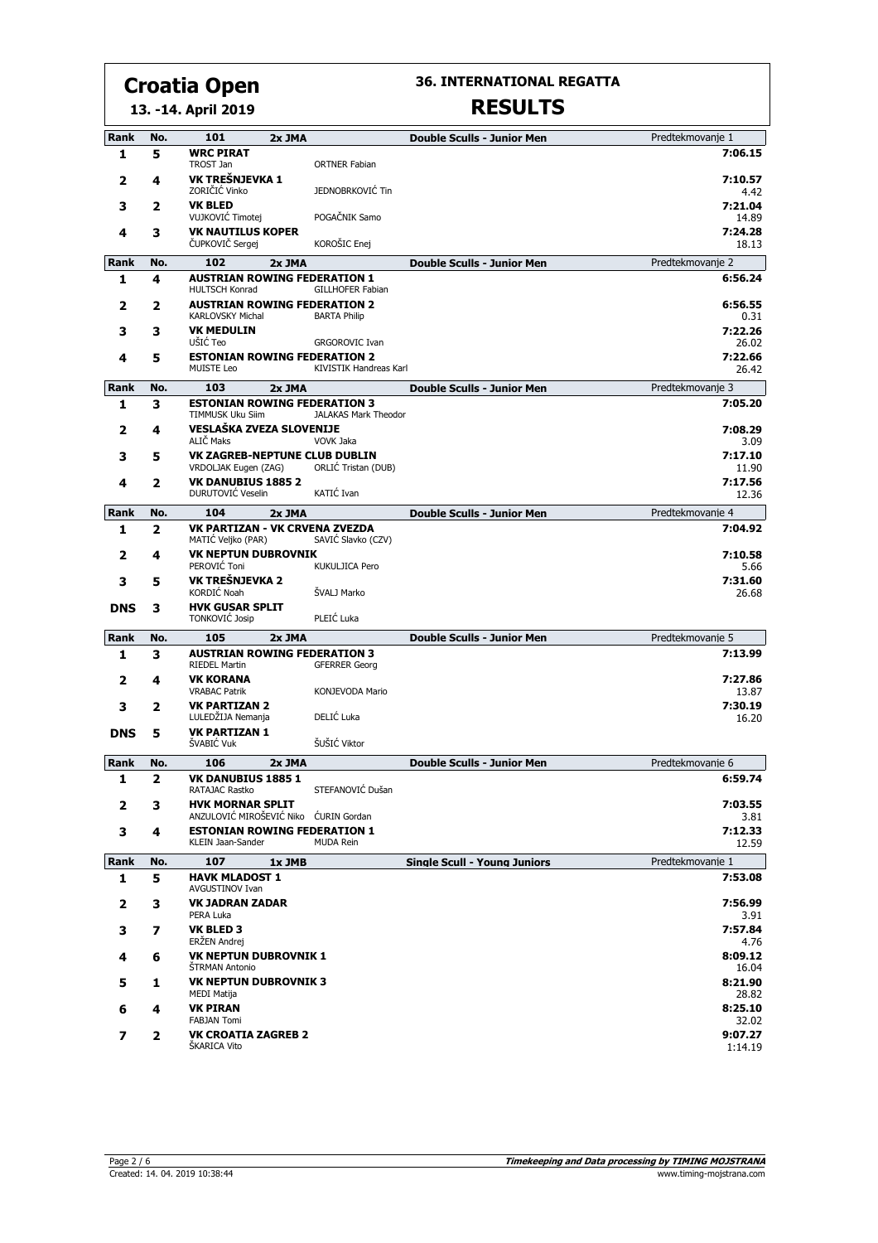#### **13. -14. April 2019 Croatia Open**

**36. INTERNATIONAL REGATTA**

| Rank        | No.            | 101                                                            | 2x JMA |                             | <b>Double Sculls - Junior Men</b>   | Predtekmovanie 1   |
|-------------|----------------|----------------------------------------------------------------|--------|-----------------------------|-------------------------------------|--------------------|
| 1           | 5              | <b>WRC PIRAT</b><br>TROST Jan                                  |        | <b>ORTNER Fabian</b>        |                                     | 7:06.15            |
| 2           | 4              | VK TREŠNJEVKA 1<br>ZORIČIĆ Vinko                               |        | JEDNOBRKOVIĆ Tin            |                                     | 7:10.57<br>4.42    |
| 3           | 2              | <b>VK BLED</b><br>VUJKOVIĆ Timotej                             |        | POGAČNIK Samo               |                                     | 7:21.04<br>14.89   |
| 4           | 3              | <b>VK NAUTILUS KOPER</b><br>ČUPKOVIČ Sergej                    |        | KOROŠIC Enej                |                                     | 7:24.28<br>18.13   |
| <b>Rank</b> | No.            | 102                                                            | 2x JMA |                             | <b>Double Sculls - Junior Men</b>   | Predtekmovanje 2   |
| 1           | 4              | <b>AUSTRIAN ROWING FEDERATION 1</b><br><b>HULTSCH Konrad</b>   |        | <b>GILLHOFER Fabian</b>     |                                     | 6:56.24            |
| 2           | 2              | <b>AUSTRIAN ROWING FEDERATION 2</b><br><b>KARLOVSKY Michal</b> |        | <b>BARTA Philip</b>         |                                     | 6:56.55<br>0.31    |
| 3           | з              | <b>VK MEDULIN</b><br>UŠIĆ Teo                                  |        | <b>GRGOROVIC Ivan</b>       |                                     | 7:22.26<br>26.02   |
| 4           | 5              | <b>ESTONIAN ROWING FEDERATION 2</b><br><b>MUISTE Leo</b>       |        | KIVISTIK Handreas Karl      |                                     | 7:22.66<br>26.42   |
| Rank        | No.            | 103                                                            | 2x JMA |                             | <b>Double Sculls - Junior Men</b>   | Predtekmovanje 3   |
| 1           | 3              | <b>ESTONIAN ROWING FEDERATION 3</b><br>TIMMUSK Uku Siim        |        | <b>JALAKAS Mark Theodor</b> |                                     | 7:05.20            |
| 2           | 4              | VESLAŠKA ZVEZA SLOVENIJE<br>ALIČ Maks                          |        | VOVK Jaka                   |                                     | 7:08.29<br>3.09    |
| 3           | 5              | VK ZAGREB-NEPTUNE CLUB DUBLIN<br>VRDOLJAK Eugen (ZAG)          |        | ORLIĆ Tristan (DUB)         |                                     | 7:17.10<br>11.90   |
| 4           | 2              | <b>VK DANUBIUS 1885 2</b><br>DURUTOVIĆ Veselin                 |        | KATIĆ Ivan                  |                                     | 7:17.56<br>12.36   |
| <b>Rank</b> | No.            | 104                                                            | 2x JMA |                             | <b>Double Sculls - Junior Men</b>   | Predtekmovanje 4   |
| 1           | $\overline{2}$ | <b>VK PARTIZAN - VK CRVENA ZVEZDA</b><br>MATIĆ Veljko (PAR)    |        | SAVIĆ Slavko (CZV)          |                                     | 7:04.92            |
| 2           | 4              | <b>VK NEPTUN DUBROVNIK</b><br>PEROVIĆ Toni                     |        | <b>KUKULJICA Pero</b>       |                                     | 7:10.58<br>5.66    |
| 3           | 5              | VK TREŠNJEVKA 2<br><b>KORDIĆ Noah</b>                          |        | ŠVALJ Marko                 |                                     | 7:31.60<br>26.68   |
| <b>DNS</b>  | з              | <b>HVK GUSAR SPLIT</b><br><b>TONKOVIĆ Josip</b>                |        | PLEIĆ Luka                  |                                     |                    |
| Rank        | No.            | 105                                                            | 2x JMA |                             | <b>Double Sculls - Junior Men</b>   | Predtekmovanje 5   |
| 1           | 3              | <b>AUSTRIAN ROWING FEDERATION 3</b><br><b>RIEDEL Martin</b>    |        | <b>GFERRER Georg</b>        |                                     | 7:13.99            |
| 2           | 4              | <b>VK KORANA</b><br><b>VRABAC Patrik</b>                       |        | KONJEVODA Mario             |                                     | 7:27.86<br>13.87   |
| 3           | 2              | <b>VK PARTIZAN 2</b><br>LULEDŽIJA Nemanja                      |        | DELIĆ Luka                  |                                     | 7:30.19<br>16.20   |
| <b>DNS</b>  | 5              | <b>VK PARTIZAN 1</b><br>ŠVABIĆ Vuk                             |        | ŠUŠIĆ Viktor                |                                     |                    |
| <b>Rank</b> | No.            | 106                                                            | 2x JMA |                             | <b>Double Sculls - Junior Men</b>   | Predtekmovanie 6   |
| 1           | 2              | <b>VK DANUBIUS 1885 1</b>                                      |        |                             |                                     | 6:59.74            |
| 2           | 3              | RATAJAC Rastko<br><b>HVK MORNAR SPLIT</b>                      |        | STEFANOVIĆ Dušan            |                                     | 7:03.55            |
|             |                | ANZULOVIĆ MIROŠEVIĆ Niko ĆURIN Gordan                          |        |                             |                                     | 3.81               |
| 3           | 4              | <b>ESTONIAN ROWING FEDERATION 1</b><br>KLEIN Jaan-Sander       |        | <b>MUDA Rein</b>            |                                     | 7:12.33<br>12.59   |
| Rank        | No.            | 107                                                            | 1x JMB |                             | <b>Single Scull - Young Juniors</b> | Predtekmovanie 1   |
| 1           | 5              | <b>HAVK MLADOST 1</b><br>AVGUSTINOV Ivan                       |        |                             |                                     | 7:53.08            |
| 2           | 3              | <b>VK JADRAN ZADAR</b><br>PERA Luka                            |        |                             |                                     | 7:56.99<br>3.91    |
| з           | 7              | <b>VK BLED 3</b><br>ERŻEN Andrej                               |        |                             |                                     | 7:57.84<br>4.76    |
| 4           | 6              | <b>VK NEPTUN DUBROVNIK 1</b><br><b>STRMAN Antonio</b>          |        |                             |                                     | 8:09.12<br>16.04   |
| 5           | 1              | <b>VK NEPTUN DUBROVNIK 3</b><br>MEDI Matija                    |        |                             |                                     | 8:21.90<br>28.82   |
| 6           | 4              | <b>VK PIRAN</b><br><b>FABJAN Tomi</b>                          |        |                             |                                     | 8:25.10<br>32.02   |
| 7           | 2              | <b>VK CROATIA ZAGREB 2</b><br>ŠKARICA Vito                     |        |                             |                                     | 9:07.27<br>1:14.19 |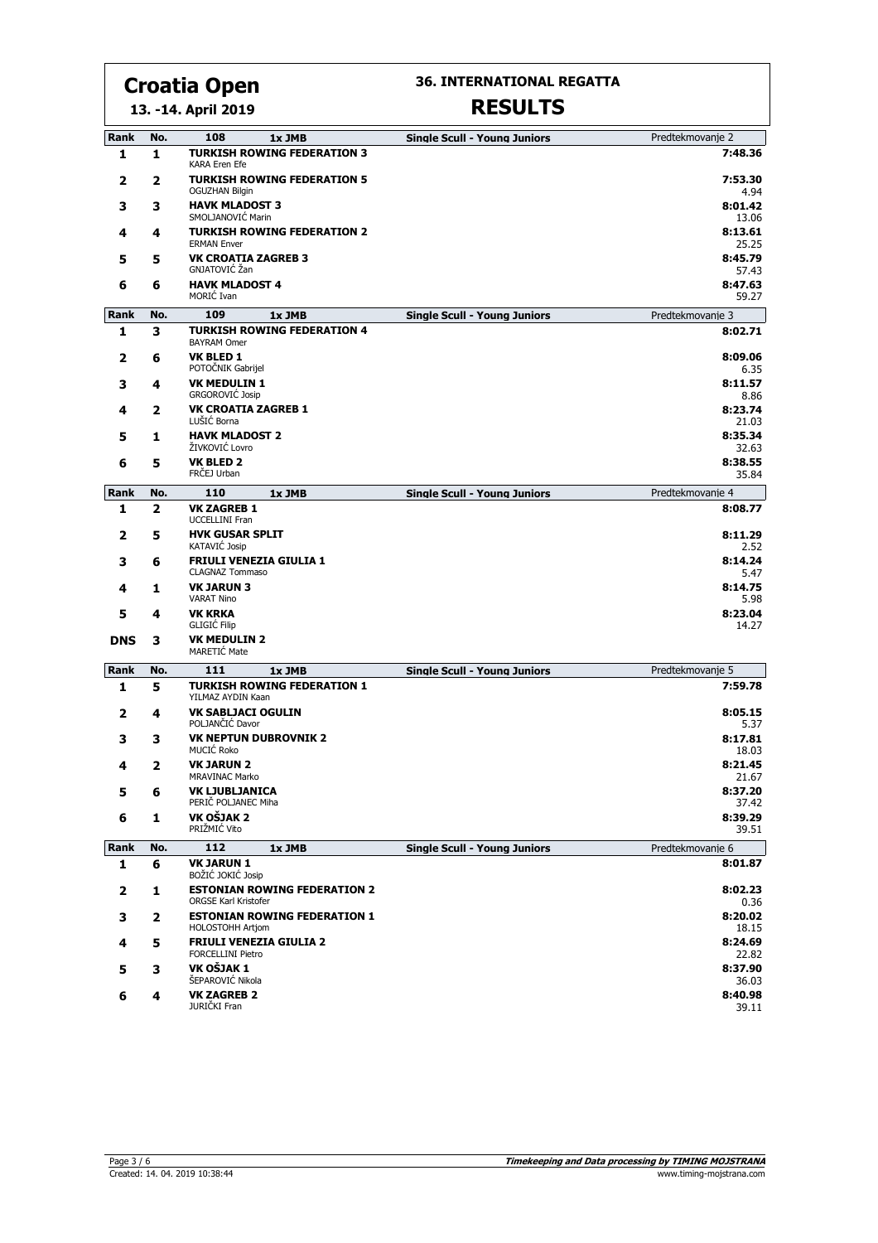**13. -14. April 2019**

#### **36. INTERNATIONAL REGATTA**

| Rank        | No. | 108<br>1x JMB                                                      | <b>Single Scull - Young Juniors</b> | Predtekmovanje 2 |
|-------------|-----|--------------------------------------------------------------------|-------------------------------------|------------------|
| 1           | 1   | <b>TURKISH ROWING FEDERATION 3</b><br>KARA Eren Efe                |                                     | 7:48.36          |
| 2           | 2   | <b>TURKISH ROWING FEDERATION 5</b><br><b>OGUZHAN Bilgin</b>        |                                     | 7:53.30<br>4.94  |
| 3           | 3   | <b>HAVK MLADOST 3</b><br>SMOLJANOVIC Marin                         |                                     | 8:01.42<br>13.06 |
| 4           | 4   | <b>TURKISH ROWING FEDERATION 2</b><br><b>ERMAN Enver</b>           |                                     | 8:13.61<br>25.25 |
| 5           | 5   | <b>VK CROATIA ZAGREB 3</b><br>GNJATOVIĆ Žan                        |                                     | 8:45.79<br>57.43 |
| 6           | 6   | <b>HAVK MLADOST 4</b><br>MORIĆ Ivan                                |                                     | 8:47.63<br>59.27 |
| Rank        | No. | 109<br>1x JMB                                                      | <b>Single Scull - Young Juniors</b> | Predtekmovanje 3 |
| 1           | 3   | <b>TURKISH ROWING FEDERATION 4</b><br><b>BAYRAM Omer</b>           |                                     | 8:02.71          |
| 2           | 6   | <b>VK BLED 1</b><br>POTOČNIK Gabrijel                              |                                     | 8:09.06<br>6.35  |
| 3           | 4   | <b>VK MEDULIN 1</b><br><b>GRGOROVIĆ Josip</b>                      |                                     | 8:11.57<br>8.86  |
| 4           | 2   | <b>VK CROATIA ZAGREB 1</b><br>LUŠIĆ Borna                          |                                     | 8:23.74<br>21.03 |
| 5           | 1   | <b>HAVK MLADOST 2</b><br>ŽIVKOVIĆ Lovro                            |                                     | 8:35.34<br>32.63 |
| 6           | 5   | <b>VK BLED 2</b><br>FRČEJ Urban                                    |                                     | 8:38.55<br>35.84 |
| <b>Rank</b> | No. | 110<br>1x JMB                                                      | <b>Single Scull - Young Juniors</b> | Predtekmovanje 4 |
| 1           | 2   | <b>VK ZAGREB 1</b><br><b>UCCELLINI Fran</b>                        |                                     | 8:08.77          |
| 2           | 5   | <b>HVK GUSAR SPLIT</b><br>KATAVIĆ Josip                            |                                     | 8:11.29<br>2.52  |
| з           | 6   | <b>FRIULI VENEZIA GIULIA 1</b><br><b>CLAGNAZ Tommaso</b>           |                                     | 8:14.24<br>5.47  |
| 4           | 1   | <b>VK JARUN 3</b><br><b>VARAT Nino</b>                             |                                     | 8:14.75<br>5.98  |
| 5           | 4   | <b>VK KRKA</b><br><b>GLIGIC Filip</b>                              |                                     | 8:23.04<br>14.27 |
| <b>DNS</b>  | з   | <b>VK MEDULIN 2</b><br>MARETIC Mate                                |                                     |                  |
| Rank        | No. | 111<br>1x JMB                                                      | <b>Single Scull - Young Juniors</b> | Predtekmovanje 5 |
| 1           | 5   | <b>TURKISH ROWING FEDERATION 1</b><br>YILMAZ AYDIN Kaan            |                                     | 7:59.78          |
| 2           | 4   | <b>VK SABLJACI OGULIN</b><br>POLJANČIĆ Davor                       |                                     | 8:05.15<br>5.37  |
| з           | з   | <b>VK NEPTUN DUBROVNIK 2</b><br>MUCIĆ Roko                         |                                     | 8:17.81<br>18.03 |
| 4           | 2   | <b>VK JARUN 2</b><br><b>MRAVINAC Marko</b>                         |                                     | 8:21.45<br>21.67 |
| 5           | 6   | VK LJUBLJANICA<br>PERIČ POLJANEC Miha                              |                                     | 8:37.20<br>37.42 |
| 6           | 1   | VK OŠJAK 2<br>PRIŽMIĆ Vito                                         |                                     | 8:39.29<br>39.51 |
| Rank        | No. | 112<br>1x JMB                                                      | <b>Single Scull - Young Juniors</b> | Predtekmovanie 6 |
| 1           | 6   | <b>VK JARUN 1</b><br>BOŽIĆ JOKIĆ Josip                             |                                     | 8:01.87          |
| 2           | 1   | <b>ESTONIAN ROWING FEDERATION 2</b><br><b>ORGSE Karl Kristofer</b> |                                     | 8:02.23<br>0.36  |
| 3           | 2   | <b>ESTONIAN ROWING FEDERATION 1</b><br><b>HOLOSTOHH Artiom</b>     |                                     | 8:20.02<br>18.15 |
| 4           | 5   | <b>FRIULI VENEZIA GIULIA 2</b><br><b>FORCELLINI Pietro</b>         |                                     | 8:24.69<br>22.82 |
| 5           | 3   | VK OŠJAK 1<br>ŠEPAROVIĆ Nikola                                     |                                     | 8:37.90<br>36.03 |
| 6           | 4   | <b>VK ZAGREB 2</b><br>JURIČKI Fran                                 |                                     | 8:40.98<br>39.11 |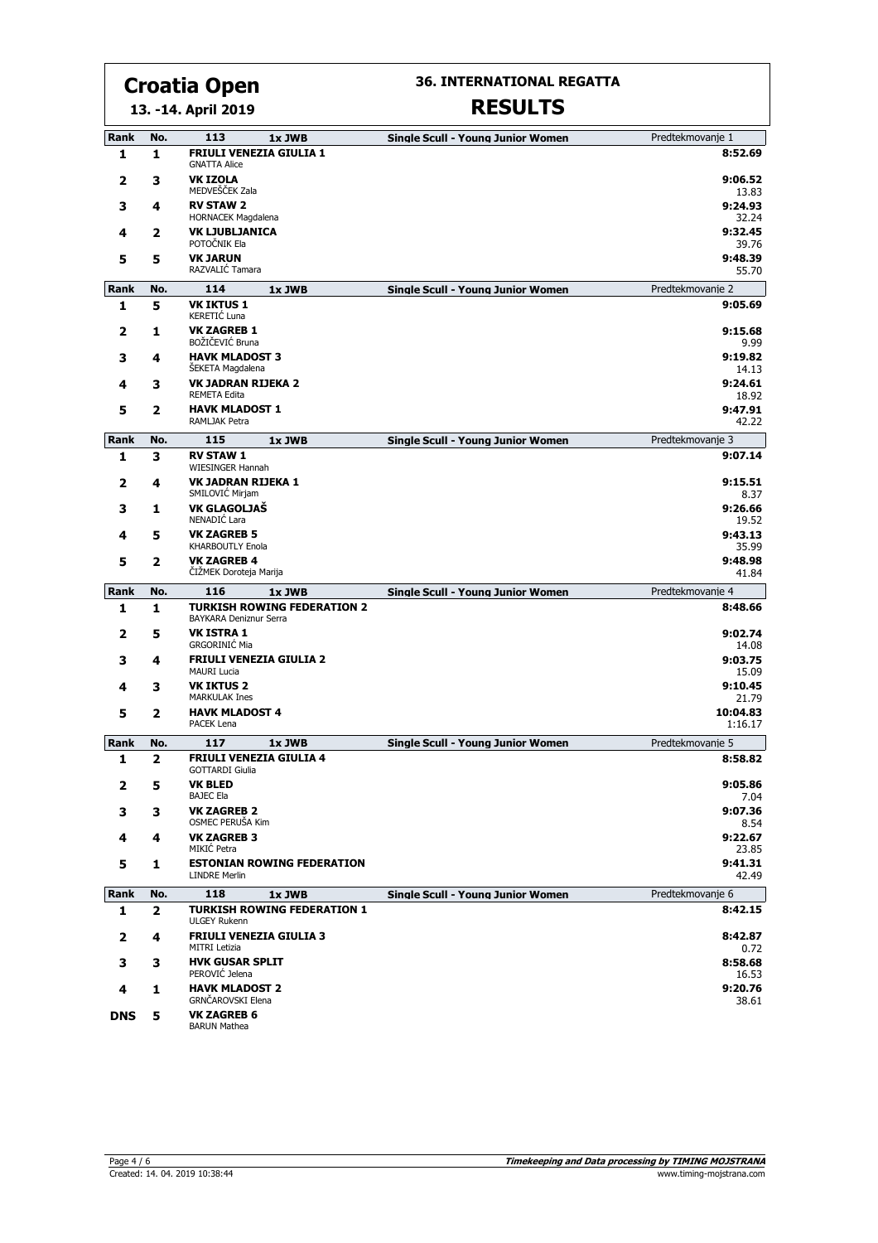#### **13. -14. April 2019 Croatia Open**

## **36. INTERNATIONAL REGATTA**

| <b>Rank</b> | No.                     | 113<br>1x JWB                                                | <b>Single Scull - Young Junior Women</b> | Predtekmovanje 1    |
|-------------|-------------------------|--------------------------------------------------------------|------------------------------------------|---------------------|
| 1           | 1                       | <b>FRIULI VENEZIA GIULIA 1</b><br><b>GNATTA Alice</b>        |                                          | 8:52.69             |
| 2           | 3                       | <b>VK IZOLA</b><br>MEDVEŠČEK Zala                            |                                          | 9:06.52<br>13.83    |
| 3           | 4                       | <b>RV STAW 2</b><br><b>HORNACEK Magdalena</b>                |                                          | 9:24.93<br>32.24    |
| 4           | 2                       | <b>VK LJUBLJANICA</b><br>POTOČNIK Ela                        |                                          | 9:32.45<br>39.76    |
| 5           | 5                       | <b>VK JARUN</b><br>RAZVALIĆ Tamara                           |                                          | 9:48.39<br>55.70    |
| Rank        | No.                     | 114<br>1x JWB                                                | <b>Single Scull - Young Junior Women</b> | Predtekmovanje 2    |
| 1           | 5                       | <b>VK IKTUS 1</b><br>KERETIĆ Luna                            |                                          | 9:05.69             |
| 2           | 1                       | <b>VK ZAGREB 1</b><br>BOŽIČEVIĆ Bruna                        |                                          | 9:15.68<br>9.99     |
| 3           | 4                       | <b>HAVK MLADOST 3</b><br><b>SEKETA Magdalena</b>             |                                          | 9:19.82<br>14.13    |
| 4           | 3                       | <b>VK JADRAN RIJEKA 2</b><br><b>REMETA Edita</b>             |                                          | 9:24.61<br>18.92    |
| 5           | 2                       | <b>HAVK MLADOST 1</b><br>RAMLJAK Petra                       |                                          | 9:47.91<br>42.22    |
| Rank        | No.                     | 115<br>1x JWB                                                | <b>Single Scull - Young Junior Women</b> | Predtekmovanje 3    |
| 1           | 3                       | <b>RV STAW 1</b><br>WIESINGER Hannah                         |                                          | 9:07.14             |
| 2           | 4                       | <b>VK JADRAN RIJEKA 1</b><br>SMILOVIĆ Mirjam                 |                                          | 9:15.51<br>8.37     |
| з           | 1                       | VK GLAGOLJAŠ<br>NENADIĆ Lara                                 |                                          | 9:26.66<br>19.52    |
| 4           | 5                       | <b>VK ZAGREB 5</b><br><b>KHARBOUTLY Enola</b>                |                                          | 9:43.13<br>35.99    |
| 5           | 2                       | <b>VK ZAGREB 4</b><br>ČIŽMEK Doroteja Marija                 |                                          | 9:48.98<br>41.84    |
| Rank        | No.                     | 116<br>1x JWB                                                | <b>Single Scull - Young Junior Women</b> | Predtekmovanje 4    |
| 1           | 1                       | <b>TURKISH ROWING FEDERATION 2</b><br>BAYKARA Deniznur Serra |                                          | 8:48.66             |
| 2           | 5                       | <b>VK ISTRA 1</b><br><b>GRGORINIĆ Mia</b>                    |                                          | 9:02.74<br>14.08    |
| з           | 4                       | <b>FRIULI VENEZIA GIULIA 2</b><br><b>MAURI Lucia</b>         |                                          | 9:03.75<br>15.09    |
| 4           | з                       | <b>VK IKTUS 2</b><br><b>MARKULAK Ines</b>                    |                                          | 9:10.45<br>21.79    |
| 5           | 2                       | <b>HAVK MLADOST 4</b><br>PACEK Lena                          |                                          | 10:04.83<br>1:16.17 |
| Rank        | No.                     | 117<br>1x JWB                                                | <b>Single Scull - Young Junior Women</b> | Predtekmovanje 5    |
| 1           | $\overline{\mathbf{z}}$ | <b>FRIULI VENEZIA GIULIA 4</b><br><b>GOTTARDI Giulia</b>     |                                          | 8:58.82             |
| 2           | 5                       | <b>VK BLED</b><br><b>BAJEC Ela</b>                           |                                          | 9:05.86<br>7.04     |
| 3           | 3                       | <b>VK ZAGREB 2</b><br>OSMEC PERUŠA Kim                       |                                          | 9:07.36<br>8.54     |
| 4           | 4                       | <b>VK ZAGREB 3</b><br>MIKIĆ Petra                            |                                          | 9:22.67<br>23.85    |
| 5           | 1                       | <b>ESTONIAN ROWING FEDERATION</b><br><b>LINDRE Merlin</b>    |                                          | 9:41.31<br>42.49    |
| Rank        | No.                     | 118<br>1x JWB                                                | <b>Single Scull - Young Junior Women</b> | Predtekmovanie 6    |
| 1           | $\mathbf{z}$            | <b>TURKISH ROWING FEDERATION 1</b><br><b>ULGEY Rukenn</b>    |                                          | 8:42.15             |
| 2           | 4                       | <b>FRIULI VENEZIA GIULIA 3</b><br><b>MITRI Letizia</b>       |                                          | 8:42.87<br>0.72     |
| з           | з                       | <b>HVK GUSAR SPLIT</b><br>PEROVIĆ Jelena                     |                                          | 8:58.68<br>16.53    |
| 4           | 1                       | <b>HAVK MLADOST 2</b><br>GRNČAROVSKI Elena                   |                                          | 9:20.76<br>38.61    |
| <b>DNS</b>  | 5                       | <b>VK ZAGREB 6</b><br><b>BARUN Mathea</b>                    |                                          |                     |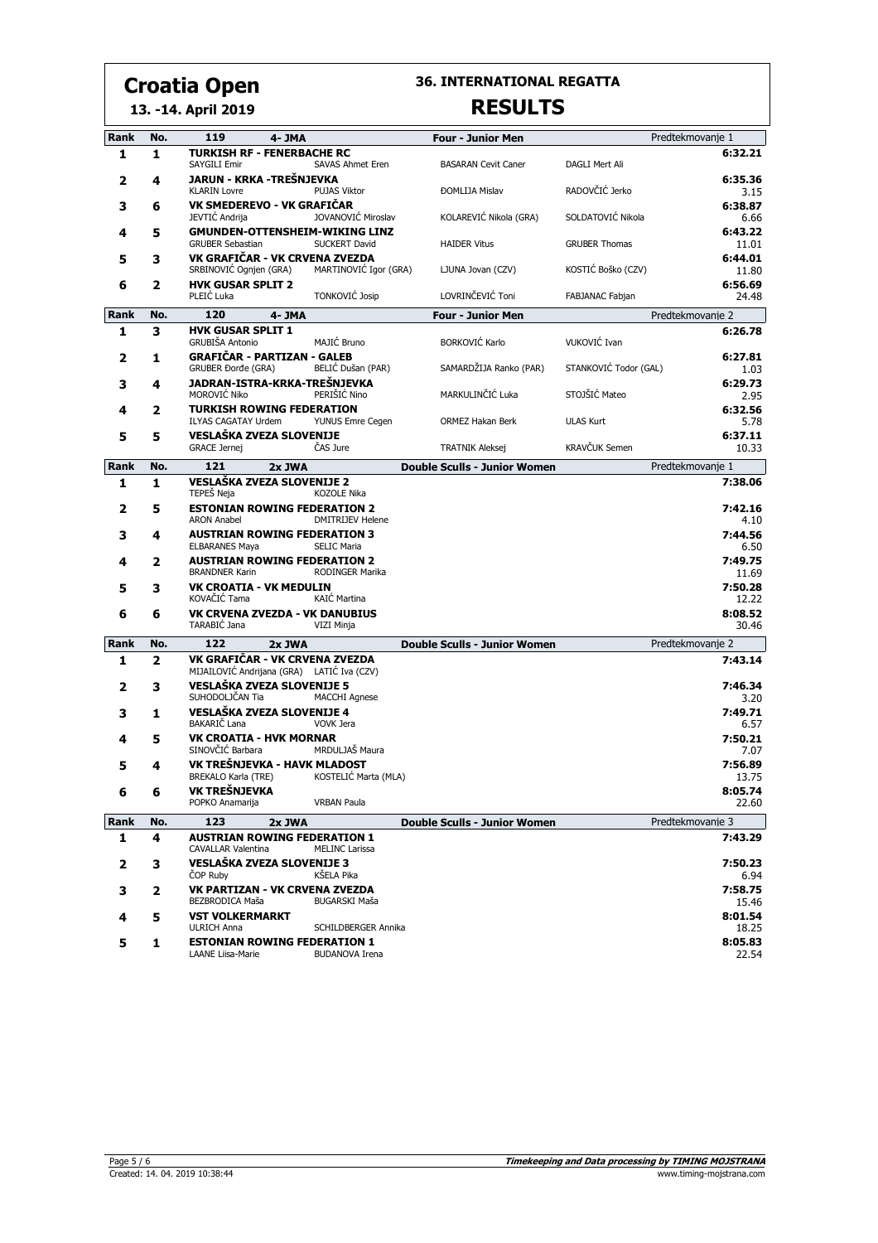#### **13. -14. April 2019**

## **36. INTERNATIONAL REGATTA RESULTS**

| <b>Rank</b> | No. | 119<br>4- JMA                                                    |                         | <b>Four - Junior Men</b>            |                       | Predtekmovanie 1 |
|-------------|-----|------------------------------------------------------------------|-------------------------|-------------------------------------|-----------------------|------------------|
| 1           | 1   | <b>TURKISH RF - FENERBACHE RC</b>                                |                         |                                     |                       | 6:32.21          |
|             |     | SAYGILI Emir                                                     | <b>SAVAS Ahmet Eren</b> | <b>BASARAN Cevit Caner</b>          | DAGLI Mert Ali        |                  |
| 2           | 4   | JARUN - KRKA -TREŠNJEVKA<br><b>KLARIN Lovre</b>                  | <b>PUJAS Viktor</b>     | <b>ĐOMLIJA Mislav</b>               | RADOVČIĆ Jerko        | 6:35.36<br>3.15  |
| 3           | 6   | VK SMEDEREVO - VK GRAFIČAR<br>JEVTIĆ Andrija                     | JOVANOVIĆ Miroslav      | KOLAREVIĆ Nikola (GRA)              | SOLDATOVIĆ Nikola     | 6:38.87<br>6.66  |
| 4           | 5   | <b>GMUNDEN-OTTENSHEIM-WIKING LINZ</b><br><b>GRUBER Sebastian</b> | SUCKERT David           | <b>HAIDER Vitus</b>                 | <b>GRUBER Thomas</b>  | 6:43.22<br>11.01 |
| 5           | з   | VK GRAFIČAR - VK CRVENA ZVEZDA<br>SRBINOVIĆ Ognjen (GRA)         | MARTINOVIĆ Igor (GRA)   | LJUNA Jovan (CZV)                   | KOSTIĆ Boško (CZV)    | 6:44.01<br>11.80 |
| 6           | 2   | <b>HVK GUSAR SPLIT 2</b><br>PLEIĆ Luka                           | TONKOVIĆ Josip          | LOVRINČEVIĆ Toni                    | FABJANAC Fabjan       | 6:56.69<br>24.48 |
| Rank        | No. | 120<br>4-JMA                                                     |                         | <b>Four - Junior Men</b>            |                       | Predtekmovanje 2 |
| 1           | 3   | <b>HVK GUSAR SPLIT 1</b>                                         |                         |                                     |                       | 6:26.78          |
|             |     | <b>GRUBIŠA Antonio</b>                                           | MAJIĆ Bruno             | <b>BORKOVIĆ Karlo</b>               | VUKOVIĆ Ivan          |                  |
| 2           | 1   | <b>GRAFIČAR - PARTIZAN - GALEB</b><br><b>GRUBER Đorđe (GRA)</b>  | BELIĆ Dušan (PAR)       | SAMARDŽIJA Ranko (PAR)              | STANKOVIĆ Todor (GAL) | 6:27.81<br>1.03  |
| 3           | 4   | JADRAN-ISTRA-KRKA-TREŠNJEVKA<br>MOROVIĆ Niko                     | PERIŠIĆ Nino            | MARKULINČIĆ Luka                    | STOJŠIĆ Mateo         | 6:29.73<br>2.95  |
| 4           | 2   | <b>TURKISH ROWING FEDERATION</b><br><b>ILYAS CAGATAY Urdem</b>   | YUNUS Emre Cegen        | ORMEZ Hakan Berk                    | <b>ULAS Kurt</b>      | 6:32.56<br>5.78  |
| 5           | 5   | VESLAŠKA ZVEZA SLOVENIJE<br><b>GRACE Jernej</b>                  | ČAS Jure                | <b>TRATNIK Aleksej</b>              | <b>KRAVČUK Semen</b>  | 6:37.11<br>10.33 |
| Rank        | No. | 121<br>2x JWA                                                    |                         | <b>Double Sculls - Junior Women</b> |                       | Predtekmovanje 1 |
| 1           | 1   | VESLAŠKA ZVEZA SLOVENIJE 2<br>TEPEŠ Neja                         | KOZOLE Nika             |                                     |                       | 7:38.06          |
| 2           | 5   | <b>ESTONIAN ROWING FEDERATION 2</b><br><b>ARON Anabel</b>        | <b>DMITRIJEV Helene</b> |                                     |                       | 7:42.16<br>4.10  |
| 3           | 4   | <b>AUSTRIAN ROWING FEDERATION 3</b><br><b>ELBARANES Maya</b>     | <b>SELIC Maria</b>      |                                     |                       | 7:44.56<br>6.50  |
| 4           | 2   | <b>AUSTRIAN ROWING FEDERATION 2</b><br><b>BRANDNER Karin</b>     | RODINGER Marika         |                                     |                       | 7:49.75<br>11.69 |
| 5           | 3   | <b>VK CROATIA - VK MEDULIN</b><br>KOVAČIĆ Tama                   | KAIĆ Martina            |                                     |                       | 7:50.28<br>12.22 |
| 6           | 6   | <b>VK CRVENA ZVEZDA - VK DANUBIUS</b><br>TARABIĆ Jana            | VIZI Minja              |                                     |                       | 8:08.52<br>30.46 |
| <b>Rank</b> | No. | 122<br>2x JWA                                                    |                         | <b>Double Sculls - Junior Women</b> |                       | Predtekmovanje 2 |
| 1           | 2   | VK GRAFIČAR - VK CRVENA ZVEZDA                                   |                         |                                     |                       | 7:43.14          |
|             |     | MIJAILOVIĆ Andrijana (GRA) LATIĆ Iva (CZV)                       |                         |                                     |                       |                  |
| 2           | 3   | <b>VESLAŠKA ZVEZA SLOVENIJE 5</b><br>SUHODOLJČAN Tia             | <b>MACCHI Agnese</b>    |                                     |                       | 7:46.34<br>3.20  |
| 3           | 1   | VESLAŠKA ZVEZA SLOVENIJE 4<br>BAKARIČ Lana                       | VOVK Jera               |                                     |                       | 7:49.71<br>6.57  |
| 4           | 5   | <b>VK CROATIA - HVK MORNAR</b><br>SINOVČIĆ Barbara               | MRDULJAŠ Maura          |                                     |                       | 7:50.21<br>7.07  |
| 5           | 4   | VK TREŠNJEVKA - HAVK MLADOST<br>BREKALO Karla (TRE)              | KOSTELIĆ Marta (MLA)    |                                     |                       | 7:56.89<br>13.75 |
| 6           | 6   | VK TREŠNJEVKA<br>POPKO Anamarija                                 | <b>VRBAN Paula</b>      |                                     |                       | 8:05.74<br>22.60 |
| Rank        | No. | 123<br>2x JWA                                                    |                         | <b>Double Sculls - Junior Women</b> |                       | Predtekmovanje 3 |
| 1           | 4   | <b>AUSTRIAN ROWING FEDERATION 1</b><br><b>CAVALLAR Valentina</b> | <b>MELINC Larissa</b>   |                                     |                       | 7:43.29          |
| 2           | 3   | VESLAŠKA ZVEZA SLOVENIJE 3                                       | KŠELA Pika              |                                     |                       | 7:50.23          |
| 3           | 2   | <b>COP Ruby</b><br>VK PARTIZAN - VK CRVENA ZVEZDA                |                         |                                     |                       | 6.94<br>7:58.75  |
|             |     | BEZBRODICA Maša<br><b>VST VOLKERMARKT</b>                        | <b>BUGARSKI Maša</b>    |                                     |                       | 15.46<br>8:01.54 |
| 4           | 5   | <b>ULRICH Anna</b>                                               | SCHILDBERGER Annika     |                                     |                       | 18.25            |
| 5           | 1   | <b>ESTONIAN ROWING FEDERATION 1</b><br>LAANE Liisa-Marie         | <b>BUDANOVA Irena</b>   |                                     |                       | 8:05.83<br>22.54 |